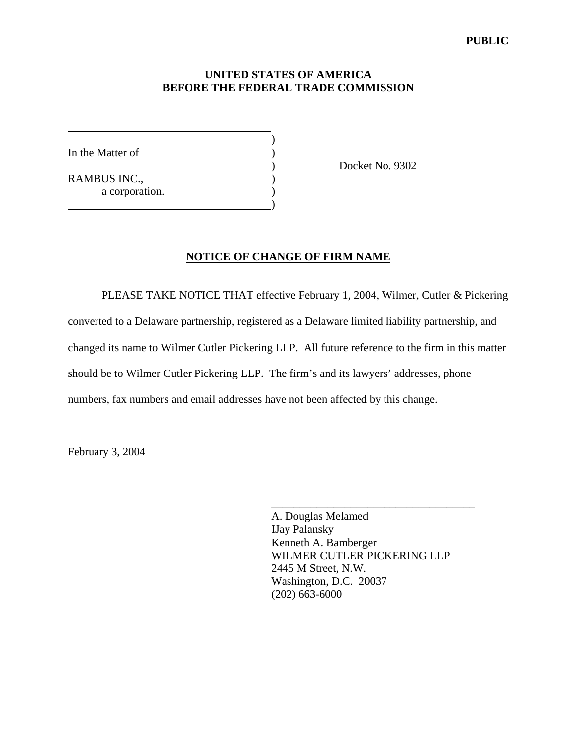## **UNITED STATES OF AMERICA BEFORE THE FEDERAL TRADE COMMISSION**

In the Matter of  $\qquad \qquad$  )

 $\overline{a}$ 

RAMBUS INC., a corporation.  $\hspace{1.5cm}$  ) and the contract of the contract of  $\hspace{1.5cm}$ 

 $)$ 

) Docket No. 9302

## **NOTICE OF CHANGE OF FIRM NAME**

 PLEASE TAKE NOTICE THAT effective February 1, 2004, Wilmer, Cutler & Pickering converted to a Delaware partnership, registered as a Delaware limited liability partnership, and changed its name to Wilmer Cutler Pickering LLP. All future reference to the firm in this matter should be to Wilmer Cutler Pickering LLP. The firm's and its lawyers' addresses, phone numbers, fax numbers and email addresses have not been affected by this change.

February 3, 2004

A. Douglas Melamed IJay Palansky Kenneth A. Bamberger WILMER CUTLER PICKERING LLP 2445 M Street, N.W. Washington, D.C. 20037 (202) 663-6000

\_\_\_\_\_\_\_\_\_\_\_\_\_\_\_\_\_\_\_\_\_\_\_\_\_\_\_\_\_\_\_\_\_\_\_\_